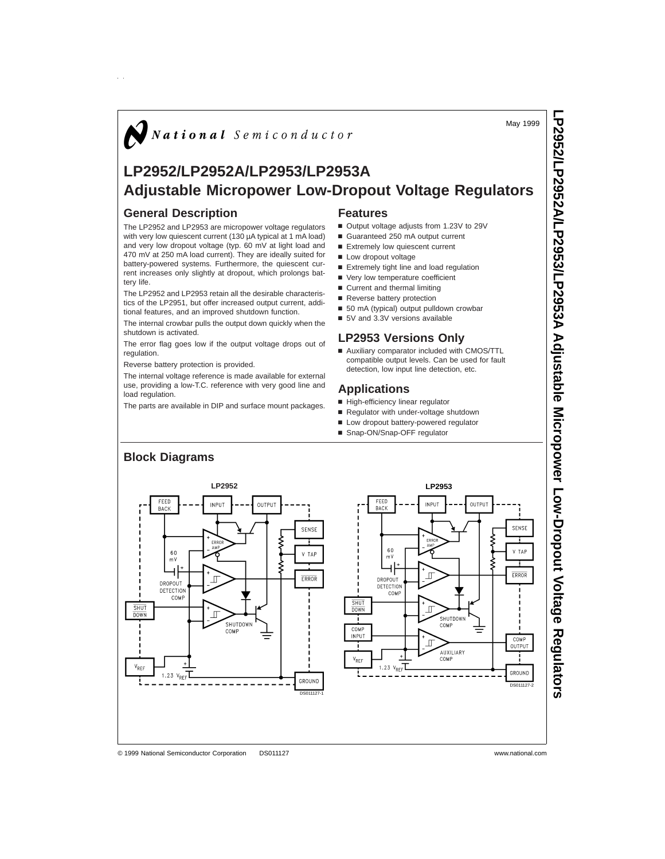May 1999

**LP2952/LP2952A/LP2953/LP2953A**

**Adjustable**

# $\bigotimes$  National Semiconductor

# **LP2952/LP2952A/LP2953/LP2953A Adjustable Micropower Low-Dropout Voltage Regulators**

# **General Description**

The LP2952 and LP2953 are micropower voltage regulators with very low quiescent current (130 µA typical at 1 mA load) and very low dropout voltage (typ. 60 mV at light load and 470 mV at 250 mA load current). They are ideally suited for battery-powered systems. Furthermore, the quiescent current increases only slightly at dropout, which prolongs battery life.

The LP2952 and LP2953 retain all the desirable characteristics of the LP2951, but offer increased output current, additional features, and an improved shutdown function.

The internal crowbar pulls the output down quickly when the shutdown is activated.

The error flag goes low if the output voltage drops out of regulation.

Reverse battery protection is provided.

The internal voltage reference is made available for external use, providing a low-T.C. reference with very good line and load regulation.

The parts are available in DIP and surface mount packages.

### **Features**

- Output voltage adjusts from 1.23V to 29V
- Guaranteed 250 mA output current
- Extremely low quiescent current
- **n** Low dropout voltage
- Extremely tight line and load regulation
- Very low temperature coefficient
- $\blacksquare$  Current and thermal limiting
- Reverse battery protection
- 50 mA (typical) output pulldown crowbar
- 5V and 3.3V versions available

### **LP2953 Versions Only**

■ Auxiliary comparator included with CMOS/TTL compatible output levels. Can be used for fault detection, low input line detection, etc.

### **Applications**

- High-efficiency linear regulator
- Regulator with under-voltage shutdown
- Low dropout battery-powered regulator
- Snap-ON/Snap-OFF regulator



© 1999 National Semiconductor Corporation DS011127 www.national.com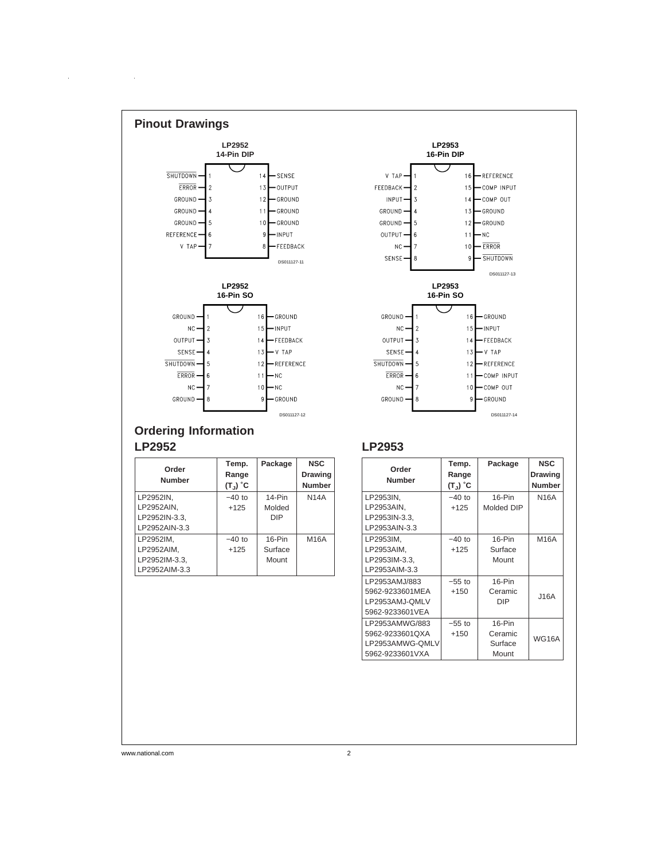

# **Ordering Information LP2952**

 $\sim 10$ 

 $\hat{\mathcal{A}}$ 

| Order         | Temp.                      | Package    | <b>NSC</b>     |
|---------------|----------------------------|------------|----------------|
| <b>Number</b> | Range                      |            | <b>Drawing</b> |
|               | $(T_{\sf u})$ $^{\circ}$ C |            | <b>Number</b>  |
| LP2952IN.     | $-40$ to                   | $14-Pin$   | <b>N14A</b>    |
| LP2952AIN.    | $+125$                     | Molded     |                |
| LP2952IN-3.3. |                            | <b>DIP</b> |                |
| LP2952AIN-3.3 |                            |            |                |
| LP2952IM.     | $-40$ to                   | $16-Pin$   | M16A           |
| LP2952AIM.    | $+125$                     | Surface    |                |
| LP2952IM-3.3, |                            | Mount      |                |
| LP2952AIM-3.3 |                            |            |                |

# **LP2953**

| Order<br><b>Number</b>                                                  | Temp.<br>Range<br>(T」) °C | Package                                 | <b>NSC</b><br><b>Drawing</b><br><b>Number</b> |
|-------------------------------------------------------------------------|---------------------------|-----------------------------------------|-----------------------------------------------|
| LP2953IN.<br>LP2953AIN,<br>LP2953IN-3.3,<br>LP2953AIN-3.3               | $-40$ to<br>$+125$        | 16-Pin<br>Molded DIP                    | <b>N16A</b>                                   |
| LP2953IM,<br>LP2953AIM.<br>LP2953IM-3.3,<br>LP2953AIM-3.3               | $-40$ to<br>$+125$        | $16-Pin$<br>Surface<br>Mount            | M16A                                          |
| LP2953AMJ/883<br>5962-9233601MEA<br>LP2953AMJ-QMLV<br>5962-9233601VEA   | $-55$ to<br>$+150$        | $16-Pin$<br>Ceramic<br><b>DIP</b>       | J16A                                          |
| LP2953AMWG/883<br>5962-9233601QXA<br>LP2953AMWG-QMLV<br>5962-9233601VXA | $-55$ to<br>$+150$        | $16-Pin$<br>Ceramic<br>Surface<br>Mount | <b>WG16A</b>                                  |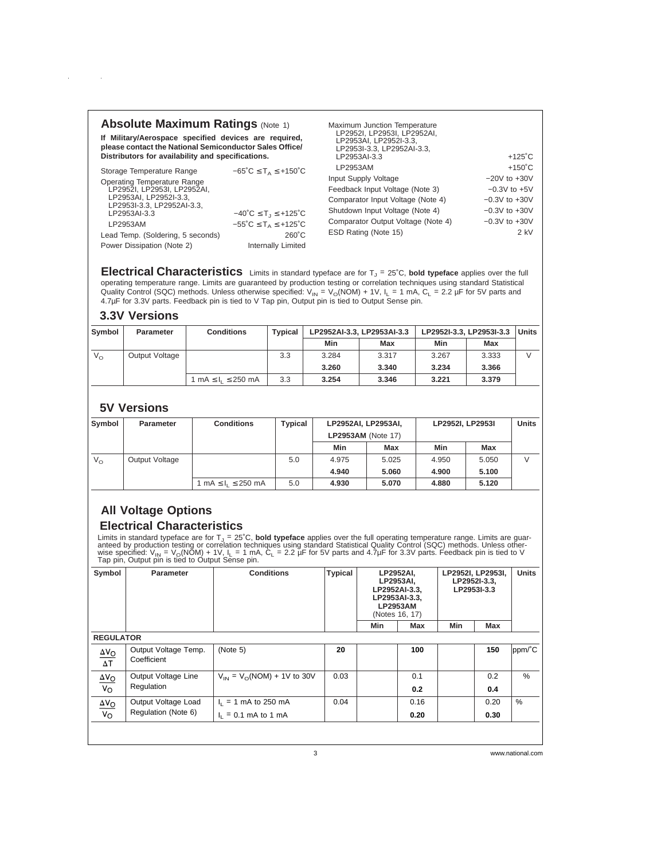# **Absolute Maximum Ratings (Note 1)**

**If Military/Aerospace specified devices are required, please contact the National Semiconductor Sales Office/ Distributors for availability and specifications.**

| Storage Temperature Range                                                                                                 | $-65^{\circ}$ C $\leq$ T <sub>A</sub> $\leq$ +150 $^{\circ}$ C |
|---------------------------------------------------------------------------------------------------------------------------|----------------------------------------------------------------|
| <b>Operating Temperature Range</b><br>LP2952I, LP2953I, LP2952AI,<br>LP2953AI, LP2952I-3.3,<br>LP2953I-3.3, LP2952AI-3.3, |                                                                |
| LP2953AI-3.3                                                                                                              | $-40^{\circ}$ C $\leq$ T <sub>1</sub> $\leq$ +125 $^{\circ}$ C |
| LP2953AM                                                                                                                  | $-55^{\circ}$ C $\leq$ T <sub>A</sub> $\leq$ +125 $^{\circ}$ C |
| Lead Temp. (Soldering, 5 seconds)                                                                                         | $260^{\circ}$ C                                                |
| Power Dissipation (Note 2)                                                                                                | <b>Internally Limited</b>                                      |

| Maximum Junction Temperature<br>LP2952I, LP2953I, LP2952AI,<br>LP2953AI. LP2952I-3.3.<br>LP2953I-3.3, LP2952AI-3.3, |                   |
|---------------------------------------------------------------------------------------------------------------------|-------------------|
| LP2953AI-3.3                                                                                                        | $+125^{\circ}$ C  |
| LP2953AM                                                                                                            | $+150^{\circ}$ C  |
| Input Supply Voltage                                                                                                | $-20V$ to $+30V$  |
| Feedback Input Voltage (Note 3)                                                                                     | $-0.3V$ to $+5V$  |
| Comparator Input Voltage (Note 4)                                                                                   | $-0.3V$ to $+30V$ |
| Shutdown Input Voltage (Note 4)                                                                                     | $-0.3V$ to $+30V$ |
| Comparator Output Voltage (Note 4)                                                                                  | $-0.3V$ to $+30V$ |
| ESD Rating (Note 15)                                                                                                | 2 kV              |

**Electrical Characteristics** Limits in standard typeface are for T<sub>J</sub> = 25°C, bold typeface applies over the full operating temperature range. Limits are guaranteed by production testing or correlation techniques using standard Statistical Quality Control (SQC) methods. Unless otherwise specified:  $V_{\text{IN}} = V_{\text{O}}(NOM) + 1V$ ,  $I_{\text{L}} = 1 \text{ mA}$ ,  $C_{\text{L}} = 2.2 \mu\text{F}$  for 5V parts and 4.7µF for 3.3V parts. Feedback pin is tied to V Tap pin, Output pin is tied to Output Sense pin.

# **3.3V Versions**

 $\sim 10$ 

 $\mathcal{A}^{\mathcal{A}}$ 

| Symbol       | <b>Parameter</b> | <b>Conditions</b>             | <b>Typical</b> |       | LP2952AI-3.3, LP2953AI-3.3 | LP2952I-3.3. LP2953I-3.3 | <b>Units</b> |  |
|--------------|------------------|-------------------------------|----------------|-------|----------------------------|--------------------------|--------------|--|
|              |                  |                               |                | Min   | Max                        | Min                      | Max          |  |
| $V_{\Omega}$ | Output Voltage   |                               | 3.3            | 3.284 | 3.317                      | 3.267                    | 3.333        |  |
|              |                  |                               |                | 3.260 | 3.340                      | 3.234                    | 3.366        |  |
|              |                  | 1 mA $\leq$ $I_1 \leq$ 250 mA | 3.3            | 3.254 | 3.346                      | 3.221                    | 3.379        |  |

# **5V Versions**

| Symbol       | <b>Parameter</b> | <b>Conditions</b>             | <b>Typical</b> | LP2952AI, LP2953AI,<br><b>LP2953AM (Note 17)</b> |       | LP2952I, LP2953I |            | <b>Units</b> |
|--------------|------------------|-------------------------------|----------------|--------------------------------------------------|-------|------------------|------------|--------------|
|              |                  |                               |                | Min                                              | Max   | Min              | <b>Max</b> |              |
| $V_{\Omega}$ | Output Voltage   |                               | 5.0            | 4.975                                            | 5.025 | 4.950            | 5.050      |              |
|              |                  |                               |                | 4.940                                            | 5.060 | 4.900            | 5.100      |              |
|              |                  | 1 mA $\leq$ $I_1 \leq$ 250 mA | 5.0            | 4.930                                            | 5.070 | 4.880            | 5.120      |              |

# **All Voltage Options Electrical Characteristics**

Limits in standard typeface are for T<sub>J</sub> = 25°C, **bold typeface** applies over the full operating temperature range. Limits are guaranteed by production testing or correlation techniques using standard Statistical Quality C

| Symbol                        | <b>Parameter</b>                    | <b>Conditions</b>                 | <b>Typical</b> | LP2952AI,<br>LP2953AI,<br>LP2952AI-3.3,<br>LP2953AI-3.3.<br>LP2953AM<br>(Notes 16, 17) |      | LP2952I, LP2953I,<br>LP2952l-3.3.<br>LP2953I-3.3 |      | <b>Units</b> |
|-------------------------------|-------------------------------------|-----------------------------------|----------------|----------------------------------------------------------------------------------------|------|--------------------------------------------------|------|--------------|
|                               |                                     |                                   |                | Min                                                                                    | Max  | Min                                              | Max  |              |
| <b>REGULATOR</b>              |                                     |                                   |                |                                                                                        |      |                                                  |      |              |
| $\frac{\Delta V_O}{\Delta T}$ | Output Voltage Temp.<br>Coefficient | (Note 5)                          | 20             |                                                                                        | 100  |                                                  | 150  | ppm/°C       |
| $\frac{\Delta V_O}{V_O}$      | Output Voltage Line<br>Regulation   | $V_{IN} = V_{O}(NOM) + 1V$ to 30V | 0.03           |                                                                                        | 0.1  |                                                  | 0.2  | $\%$         |
|                               |                                     |                                   |                |                                                                                        | 0.2  |                                                  | 0.4  |              |
| $\underline{\Delta V_O}$      | Output Voltage Load                 | $I_1 = 1$ mA to 250 mA            | 0.04           |                                                                                        | 0.16 |                                                  | 0.20 | $\%$         |
| $\overline{v_{\rm o}}$        | Regulation (Note 6)                 | $I_1 = 0.1$ mA to 1 mA            |                |                                                                                        | 0.20 |                                                  | 0.30 |              |
|                               |                                     |                                   |                |                                                                                        |      |                                                  |      |              |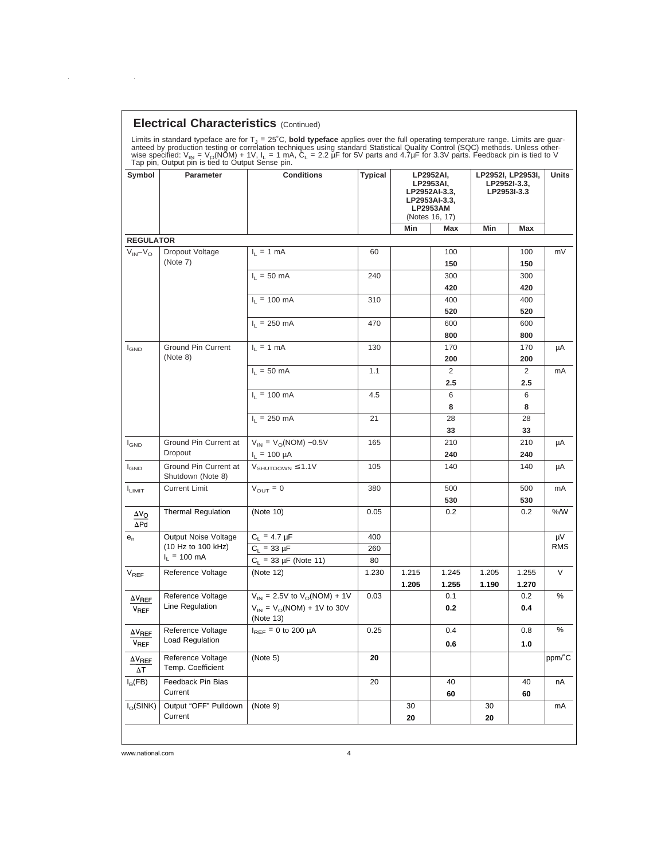# **Electrical Characteristics** (Continued)

 $\sim 10^{11}$ 

 $\hat{\mathcal{A}}$ 

| <b>Parameter</b><br>Symbol                 |                                        | wise specified: $V_{\text{IN}} = V_{\text{O}}(NOM) + 1V$ , $I_{\text{I}} = 1$ mA, $C_{\text{L}} = 2.2 \mu F$ for 5V parts and 4.7 $\mu F$ for 3.3V parts. Feedback pin is tied to V<br>Tap pin, Output pin is tied to Output Sense pin.<br><b>Conditions</b> | Typical<br>LP2952AI,<br>LP2953AI,<br>LP2952AI-3.3.<br>LP2953AI-3.3.<br><b>LP2953AM</b><br>(Notes 16, 17) |                |                |                | LP2952I, LP2953I,<br>LP2952l-3.3,<br>LP2953I-3.3 |            |
|--------------------------------------------|----------------------------------------|--------------------------------------------------------------------------------------------------------------------------------------------------------------------------------------------------------------------------------------------------------------|----------------------------------------------------------------------------------------------------------|----------------|----------------|----------------|--------------------------------------------------|------------|
|                                            |                                        |                                                                                                                                                                                                                                                              |                                                                                                          | Min            | Max            | Min            | Max                                              |            |
| <b>REGULATOR</b>                           |                                        |                                                                                                                                                                                                                                                              |                                                                                                          |                |                |                |                                                  |            |
| $V_{IN} - V_{O}$                           | Dropout Voltage<br>(Note 7)            | $I_1 = 1$ mA                                                                                                                                                                                                                                                 | 60                                                                                                       |                | 100<br>150     |                | 100<br>150                                       | mV         |
|                                            |                                        | $I_1 = 50$ mA                                                                                                                                                                                                                                                | 240                                                                                                      |                | 300            |                | 300                                              |            |
|                                            |                                        |                                                                                                                                                                                                                                                              |                                                                                                          |                | 420            |                | 420                                              |            |
|                                            |                                        | $I_L = 100 \text{ mA}$                                                                                                                                                                                                                                       | 310                                                                                                      |                | 400            |                | 400                                              |            |
|                                            |                                        |                                                                                                                                                                                                                                                              |                                                                                                          |                | 520            |                | 520                                              |            |
|                                            |                                        | $I_1$ = 250 mA                                                                                                                                                                                                                                               | 470                                                                                                      |                | 600            |                | 600                                              |            |
|                                            |                                        |                                                                                                                                                                                                                                                              |                                                                                                          |                | 800            |                | 800                                              |            |
| $I_{GND}$                                  | <b>Ground Pin Current</b>              | $I_L = 1$ mA                                                                                                                                                                                                                                                 | 130                                                                                                      |                | 170            |                | 170                                              | μA         |
|                                            | (Note 8)                               |                                                                                                                                                                                                                                                              |                                                                                                          |                | 200            |                | 200                                              |            |
|                                            |                                        | $I_1 = 50$ mA                                                                                                                                                                                                                                                | 1.1                                                                                                      |                | 2              |                | 2                                                | mA         |
|                                            |                                        |                                                                                                                                                                                                                                                              |                                                                                                          |                | 2.5            |                | 2.5                                              |            |
|                                            |                                        | $I_1 = 100 \text{ mA}$                                                                                                                                                                                                                                       | 4.5                                                                                                      |                | 6              |                | 6                                                |            |
|                                            |                                        |                                                                                                                                                                                                                                                              |                                                                                                          |                | 8              |                | 8                                                |            |
|                                            |                                        | $I_1 = 250$ mA                                                                                                                                                                                                                                               | 21                                                                                                       |                | 28<br>33       |                | 28<br>33                                         |            |
|                                            | Ground Pin Current at                  | $V_{IN} = V_{O}(NOM) -0.5V$                                                                                                                                                                                                                                  | 165                                                                                                      |                | 210            |                | 210                                              |            |
| $I_{GND}$                                  | Dropout                                | $I_1 = 100 \mu A$                                                                                                                                                                                                                                            |                                                                                                          |                | 240            |                | 240                                              | μA         |
| $I_{GND}$                                  | Ground Pin Current at                  | $V_{SHUTDOWN} \leq 1.1V$                                                                                                                                                                                                                                     | 105                                                                                                      |                | 140            |                | 140                                              | μA         |
|                                            | Shutdown (Note 8)                      |                                                                                                                                                                                                                                                              |                                                                                                          |                |                |                |                                                  |            |
| <b>LIMIT</b>                               | <b>Current Limit</b>                   | $V_{\text{OUT}} = 0$                                                                                                                                                                                                                                         | 380                                                                                                      |                | 500            |                | 500                                              | mA         |
|                                            |                                        |                                                                                                                                                                                                                                                              |                                                                                                          |                | 530            |                | 530                                              |            |
| $\Delta V_{\rm O}$<br>$\Delta$ Pd          | <b>Thermal Regulation</b>              | (Note 10)                                                                                                                                                                                                                                                    | 0.05                                                                                                     |                | 0.2            |                | 0.2                                              | $%$ /W     |
| $e_n$                                      | Output Noise Voltage                   | $C_1 = 4.7 \mu F$                                                                                                                                                                                                                                            | 400                                                                                                      |                |                |                |                                                  | μV         |
|                                            | (10 Hz to 100 kHz)                     | $C_L = 33 \mu F$                                                                                                                                                                                                                                             | 260                                                                                                      |                |                |                |                                                  | <b>RMS</b> |
|                                            | $I_1 = 100 \text{ mA}$                 | $C_L$ = 33 µF (Note 11)                                                                                                                                                                                                                                      | 80                                                                                                       |                |                |                |                                                  |            |
| $V_{REF}$                                  | Reference Voltage                      | (Note 12)                                                                                                                                                                                                                                                    | 1.230                                                                                                    | 1.215<br>1.205 | 1.245<br>1.255 | 1.205<br>1.190 | 1.255<br>1.270                                   | V          |
| $\Delta$ V <sub>REF</sub>                  | Reference Voltage                      | $V_{IN}$ = 2.5V to $V_{O} (NOM) + 1V$                                                                                                                                                                                                                        | 0.03                                                                                                     |                | 0.1            |                | 0.2                                              | %          |
| <b>V<sub>RFF</sub></b>                     | Line Regulation                        | $V_{IN} = V_{O}(NOM) + 1V$ to 30V<br>(Note 13)                                                                                                                                                                                                               |                                                                                                          |                | 0.2            |                | 0.4                                              |            |
| $\Delta V_{REF}$<br><b>V<sub>REF</sub></b> | Reference Voltage<br>Load Regulation   | $I_{REF} = 0$ to 200 µA                                                                                                                                                                                                                                      | 0.25                                                                                                     |                | 0.4<br>0.6     |                | 0.8<br>1.0                                       | %          |
| $\Delta\rm{V_{REF}}$<br>$\Delta T$         | Reference Voltage<br>Temp. Coefficient | (Note 5)                                                                                                                                                                                                                                                     | 20                                                                                                       |                |                |                |                                                  | ppm/°C     |
| $I_B$ (FB)                                 | Feedback Pin Bias                      |                                                                                                                                                                                                                                                              | 20                                                                                                       |                | 40             |                | 40                                               | nA         |
|                                            | Current                                |                                                                                                                                                                                                                                                              |                                                                                                          |                | 60             |                | 60                                               |            |
| $I_{\Omega}$ (SINK)                        | Output "OFF" Pulldown                  | (Note 9)                                                                                                                                                                                                                                                     |                                                                                                          | 30             |                | 30             |                                                  | mA         |
|                                            | Current                                |                                                                                                                                                                                                                                                              |                                                                                                          | 20             |                | 20             |                                                  |            |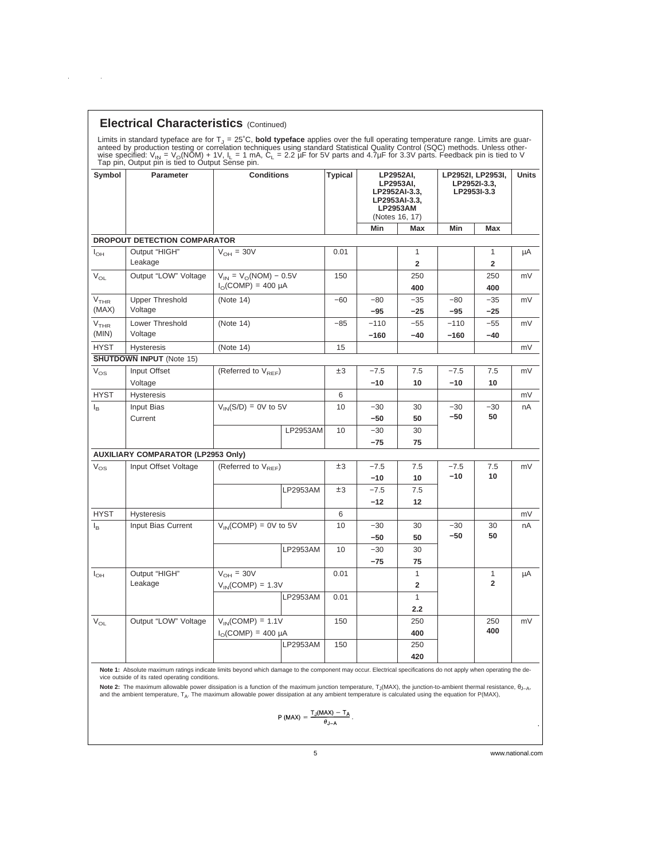|  | <b>Electrical Characteristics (Continued)</b> |  |
|--|-----------------------------------------------|--|
|--|-----------------------------------------------|--|

 $\sim 10^6$ 

 $\alpha$  ,  $\beta$ 

Limits in standard typeface are for T<sub>J</sub> = 25°C, **bold typeface** applies over the full operating temperature range. Limits are guaranteed by production testing or correlation techniques using standard Statistical Quality C

| Symbol                    | Parameter                                 | <b>Conditions</b>                                            |          | <b>Typical</b> |                 | LP2952AI,<br>LP2953AI,<br>LP2952AI-3.3,<br>LP2953AI-3.3,<br><b>LP2953AM</b><br>(Notes 16, 17) |                 | LP2952I, LP2953I,<br>LP2952l-3.3.<br>LP2953I-3.3 | Units |
|---------------------------|-------------------------------------------|--------------------------------------------------------------|----------|----------------|-----------------|-----------------------------------------------------------------------------------------------|-----------------|--------------------------------------------------|-------|
|                           |                                           |                                                              |          |                | Min             | Max                                                                                           | Min             | Max                                              |       |
|                           | DROPOUT DETECTION COMPARATOR              |                                                              |          |                |                 |                                                                                               |                 |                                                  |       |
| $I_{\rm OH}$              | Output "HIGH"<br>Leakage                  | $V_{OH}$ = 30V                                               |          | 0.01           |                 | $\mathbf{1}$<br>$\overline{\mathbf{2}}$                                                       |                 | $\mathbf{1}$<br>$\overline{2}$                   | μA    |
| $V_{OL}$                  | Output "LOW" Voltage                      | $V_{IN} = V_{O}(NOM) - 0.5V$<br>$I_{\Omega}$ (COMP) = 400 µA |          | 150            |                 | 250<br>400                                                                                    |                 | 250<br>400                                       | mV    |
| V <sub>THR</sub><br>(MAX) | <b>Upper Threshold</b><br>Voltage         | (Note 14)                                                    |          | $-60$          | $-80$           | $-35$                                                                                         | $-80$           | $-35$                                            | mV    |
| V <sub>THR</sub>          | Lower Threshold                           | (Note 14)                                                    |          | $-85$          | $-95$<br>$-110$ | $-25$<br>$-55$                                                                                | $-95$<br>$-110$ | $-25$<br>$-55$                                   | mV    |
| (MIN)                     | Voltage                                   |                                                              |          |                | $-160$          | $-40$                                                                                         | $-160$          | $-40$                                            |       |
| <b>HYST</b>               | <b>Hysteresis</b>                         | (Note 14)                                                    |          | 15             |                 |                                                                                               |                 |                                                  | mV    |
|                           | <b>SHUTDOWN INPUT (Note 15)</b>           |                                                              |          |                |                 |                                                                                               |                 |                                                  |       |
| $V_{OS}$                  | Input Offset                              | (Referred to V <sub>REF</sub> )                              |          | ±3             | $-7.5$          | 7.5                                                                                           | $-7.5$          | 7.5                                              | mV    |
|                           | Voltage                                   |                                                              |          |                | $-10$           | 10                                                                                            | $-10$           | 10                                               |       |
| <b>HYST</b>               | <b>Hysteresis</b>                         |                                                              |          | 6              |                 |                                                                                               |                 |                                                  | mV    |
| $I_{\rm B}$               | Input Bias<br>Current                     | $V_{IN}(S/D) = 0V$ to 5V                                     |          | 10             | $-30$<br>-50    | 30<br>50                                                                                      | $-30$<br>$-50$  | $-30$<br>50                                      | nA    |
|                           |                                           |                                                              | LP2953AM | 10             | $-30$           | 30                                                                                            |                 |                                                  |       |
|                           |                                           |                                                              |          |                | $-75$           | 75                                                                                            |                 |                                                  |       |
|                           | <b>AUXILIARY COMPARATOR (LP2953 Only)</b> |                                                              |          |                |                 |                                                                                               |                 |                                                  |       |
| $V_{OS}$                  | Input Offset Voltage                      | (Referred to V <sub>RFF</sub> )                              |          | ±3             | $-7.5$          | 7.5                                                                                           | $-7.5$          | 7.5                                              | mV    |
|                           |                                           |                                                              |          |                | $-10$           | 10                                                                                            | $-10$           | 10                                               |       |
|                           |                                           |                                                              | LP2953AM | ±3             | $-7.5$          | 7.5                                                                                           |                 |                                                  |       |
|                           |                                           |                                                              |          |                | $-12$           | 12                                                                                            |                 |                                                  |       |
| <b>HYST</b>               | <b>Hysteresis</b>                         |                                                              |          | 6              |                 |                                                                                               |                 |                                                  | mV    |
| $I_{\rm B}$               | Input Bias Current                        | $V_{IN}$ (COMP) = 0V to 5V                                   |          | 10             | $-30$           | 30                                                                                            | $-30$           | 30                                               | nA    |
|                           |                                           |                                                              |          |                | $-50$           | 50                                                                                            | $-50$           | 50                                               |       |
|                           |                                           |                                                              | LP2953AM | 10             | $-30$           | 30                                                                                            |                 |                                                  |       |
|                           |                                           |                                                              |          |                | $-75$           | 75                                                                                            |                 |                                                  |       |
| $I_{OH}$                  | Output "HIGH"<br>Leakage                  | $V_{OH}$ = 30V                                               |          | 0.01           |                 | $\mathbf{1}$<br>$\overline{2}$                                                                |                 | 1<br>$\overline{2}$                              | μA    |
|                           |                                           | $V_{IN}$ (COMP) = 1.3V                                       | LP2953AM | 0.01           |                 | $\mathbf{1}$                                                                                  |                 |                                                  |       |
|                           |                                           |                                                              |          |                |                 | 2.2                                                                                           |                 |                                                  |       |
| $\rm V_{OL}$              | Output "LOW" Voltage                      | $V_{IN}$ (COMP) = 1.1V                                       |          | 150            |                 | 250                                                                                           |                 | 250                                              | mV    |
|                           |                                           | $IO(COMP) = 400 \mu A$                                       |          |                |                 | 400                                                                                           |                 | 400                                              |       |
|                           |                                           |                                                              | LP2953AM | 150            |                 | 250                                                                                           |                 |                                                  |       |
|                           |                                           |                                                              |          |                |                 | 420                                                                                           |                 |                                                  |       |

Note 1: Absolute maximum ratings indicate limits beyond which damage to the component may occur. Electrical specifications do not apply when operating the device outside of its rated operating conditions.

Note 2: The maximum allowable power dissipation is a function of the maximum junction temperature, T<sub>J</sub>(MAX), the junction-to-ambient thermal resistance, θ<sub>J–A</sub>, and the ambient temperature,  $T_A$ . The maximum allowable power dissipation at any ambient temperature is calculated using the equation for P(MAX),

$$
P(MAX) = \frac{T_J(MAX) - T_A}{\theta_{J-A}}.
$$

.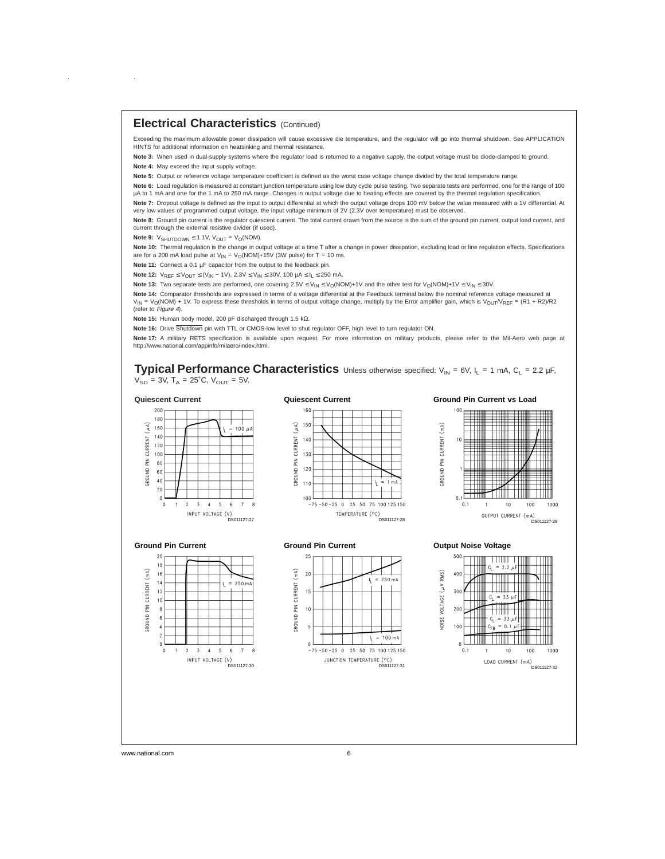## **Electrical Characteristics** (Continued)

Exceeding the maximum allowable power dissipation will cause excessive die temperature, and the regulator will go into thermal shutdown. See APPLICATION HINTS for additional information on heatsinking and thermal resistance.

**Note 3:** When used in dual-supply systems where the regulator load is returned to a negative supply, the output voltage must be diode-clamped to ground. **Note 4:** May exceed the input supply voltage.

**Note 5:** Output or reference voltage temperature coefficient is defined as the worst case voltage change divided by the total temperature range.

**Note 6:** Load regulation is measured at constant junction temperature using low duty cycle pulse testing. Two separate tests are performed, one for the range of 100 µA to 1 mA and one for the 1 mA to 250 mA range. Changes in output voltage due to heating effects are covered by the thermal regulation specification **Note 7:** Dropout voltage is defined as the input to output differential at which the output voltage drops 100 mV below the value measured with a 1V differential. At

very low values of programmed output voltage, the input voltage minimum of 2V (2.3V over temperature) must be observed. Note 8: Ground pin current is the regulator quiescent current. The total current drawn from the source is the sum of the ground pin current, output load current, and current through the external resistive divider (if used).

**Note 9:**  $V_{SHUTDOWN} \le 1.1V$ ,  $V_{OUT} = V_O(NOM)$ .

 $\bar{z}$ 

**Note 10:** Thermal regulation is the change in output voltage at a time T after a change in power dissipation, excluding load or line regulation effects. Specifications are for a 200 mA load pulse at  $V_{\text{IN}} = V_{\text{O}}(\text{NOM}) + 15V$  (3W pulse) for T = 10 ms.

Note 11: Connect a 0.1 µF capacitor from the output to the feedback pin.

**Note 12:**  $V_{REF}$  ≤  $V_{OUT}$  ≤  $(V_{IN} - 1V)$ , 2.3 $V$  ≤  $V_{IN}$  ≤ 30 $V$ , 100  $\mu$ A ≤  $I_L$  ≤ 250 mA.

Note 13: Two separate tests are performed, one covering 2.5V ≤ V<sub>IN</sub> ≤ V<sub>O</sub>(NOM)+1V and the other test for V<sub>O</sub>(NOM)+1V ≤ V<sub>IN</sub> ≤ 30V.

**Note 14:** Comparator thresholds are expressed in terms of a voltage differential at the Feedback terminal below the nominal reference voltage measured at  $V_{\text{IN}} = V_{\text{O}}(\text{NOM}) + 1V$ . To express these thresholds in terms of output voltage change, multiply by the Error amplifier gain, which is V<sub>OUT</sub>/V<sub>REF</sub> = (R1 + R2)/R2 (refer to Figure <sup>4</sup>).

**Note 15:** Human body model, 200 pF discharged through 1.5 kΩ.

**Note 16:** Drive Shutdown pin with TTL or CMOS-low level to shut regulator OFF, high level to turn regulator ON.

Note 17: A military RETS specification is available upon request. For more information on military products, please refer to the Mil-Aero web page at http://www.national.com/appinfo/milaero/index.html.

**Typical Performance Characteristics** Unless otherwise specified: V<sub>IN</sub> = 6V, I<sub>L</sub> = 1 mA, C<sub>L</sub> = 2.2 µF,  $V_{SD}$  = 3V, T<sub>A</sub> = 25<sup>°</sup>C, V<sub>OUT</sub> = 5V.

#### **Quiescent Current**

PIN CURRENT

**GNUONS** 

#### 200 180  $\begin{array}{c} \widehat{4} \\ 3 \end{array}$  160  $100u$ 140 120 100  $80$ 60 40  $20$  $\,$  5  $\,$  $\sqrt{2}$  $\overline{3}$  $-4$  $\sqrt{6}$  $\overline{\mathbf{8}}$  $\pmb{0}$  $\overline{1}$ -<br>INPUT VOLTAGE (V)<br>DS011127-27







#### **Ground Pin Current**



#### **Ground Pin Current**



#### **Output Noise Voltage**

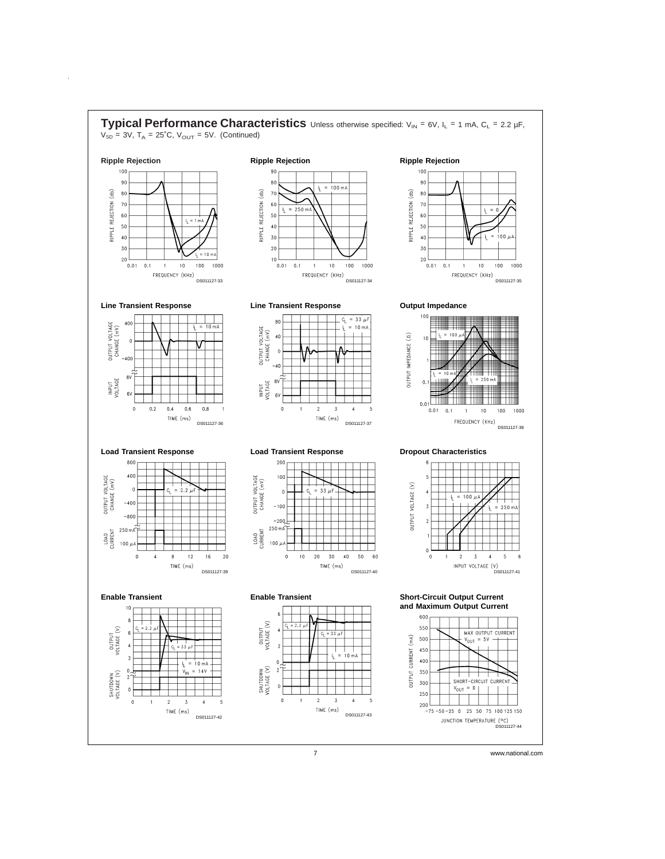

 $\hat{\boldsymbol{\theta}}$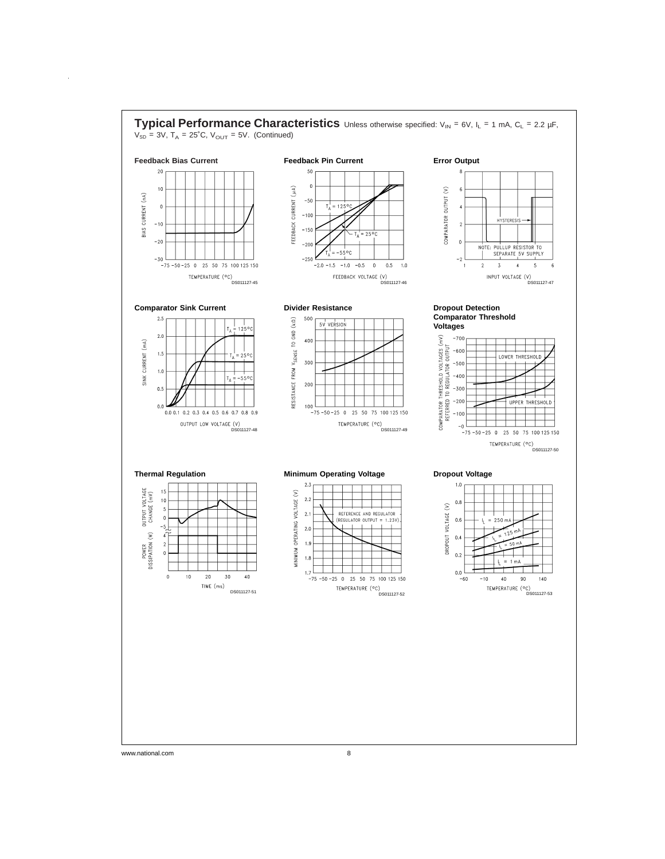

www.national.com 8

 $\hat{\boldsymbol{\beta}}$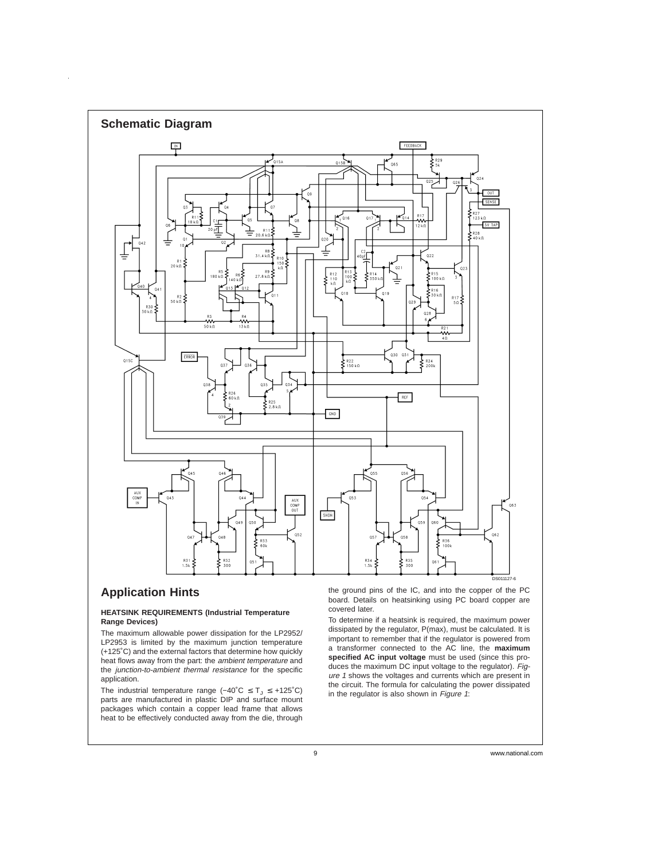

# **Application Hints**

#### **HEATSINK REQUIREMENTS (Industrial Temperature Range Devices)**

The maximum allowable power dissipation for the LP2952/ LP2953 is limited by the maximum junction temperature (+125˚C) and the external factors that determine how quickly heat flows away from the part: the ambient temperature and the junction-to-ambient thermal resistance for the specific application.

The industrial temperature range  $(-40^{\circ}C \leq T_J \leq +125^{\circ}C)$ parts are manufactured in plastic DIP and surface mount packages which contain a copper lead frame that allows heat to be effectively conducted away from the die, through the ground pins of the IC, and into the copper of the PC board. Details on heatsinking using PC board copper are covered later.

To determine if a heatsink is required, the maximum power dissipated by the regulator, P(max), must be calculated. It is important to remember that if the regulator is powered from a transformer connected to the AC line, the **maximum specified AC input voltage** must be used (since this produces the maximum DC input voltage to the regulator). Figure 1 shows the voltages and currents which are present in the circuit. The formula for calculating the power dissipated in the regulator is also shown in Figure 1: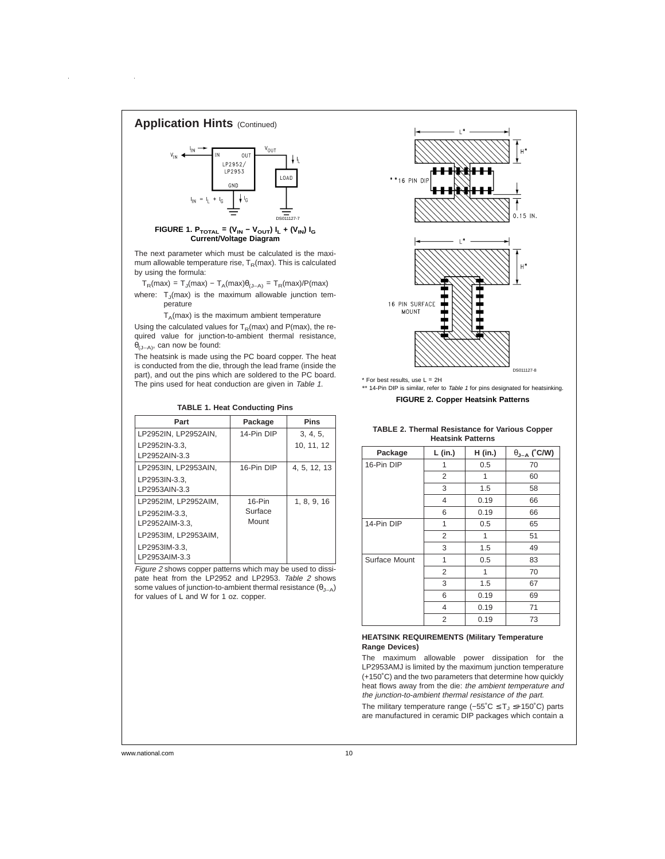

The next parameter which must be calculated is the maximum allowable temperature rise,  $T_R$ (max). This is calculated by using the formula:

 $\mathsf{T}_{\mathsf{R}}(\mathsf{max}) = \mathsf{T}_{\mathsf{J}}(\mathsf{max}) - \mathsf{T}_{\mathsf{A}}(\mathsf{max}) \theta_{\mathsf{(J-A)}} = \mathsf{T}_{\mathsf{R}}(\mathsf{max}) / \mathsf{P}(\mathsf{max})$ where:  $T_J(max)$  is the maximum allowable junction temperature

 $T_A$ (max) is the maximum ambient temperature

Using the calculated values for  $T_R$ (max) and P(max), the required value for junction-to-ambient thermal resistance,  $\theta_{(J-A)}$ , can now be found:

The heatsink is made using the PC board copper. The heat is conducted from the die, through the lead frame (inside the part), and out the pins which are soldered to the PC board. The pins used for heat conduction are given in Table 1.

| Part                 | Package    | <b>Pins</b>  |
|----------------------|------------|--------------|
| LP2952IN, LP2952AIN, | 14-Pin DIP | 3, 4, 5,     |
| LP2952IN-3.3.        |            | 10, 11, 12   |
| LP2952AIN-3.3        |            |              |
| LP2953IN, LP2953AIN, | 16-Pin DIP | 4, 5, 12, 13 |
| LP2953IN-3.3,        |            |              |
| LP2953AIN-3.3        |            |              |
| LP2952IM, LP2952AIM, | $16-Pin$   | 1, 8, 9, 16  |
| LP2952IM-3.3.        | Surface    |              |
| LP2952AIM-3.3.       | Mount      |              |
| LP2953IM, LP2953AIM, |            |              |
| LP2953IM-3.3.        |            |              |
| LP2953AIM-3.3        |            |              |
|                      |            |              |

**TABLE 1. Heat Conducting Pins**

Figure <sup>2</sup> shows copper patterns which may be used to dissipate heat from the LP2952 and LP2953. Table 2 shows some values of junction-to-ambient thermal resistance  $(θ_{\perp A})$ for values of L and W for 1 oz. copper.



\*\* 14-Pin DIP is similar, refer to Table 1 for pins designated for heatsinking.

**FIGURE 2. Copper Heatsink Patterns**

#### **TABLE 2. Thermal Resistance for Various Copper Heatsink Patterns**

| Package       | L (in.)        | H (in.) | $\theta_{J-A}$ (°C/W) |
|---------------|----------------|---------|-----------------------|
| 16-Pin DIP    | 1              | 0.5     | 70                    |
|               | 2              | 1       | 60                    |
|               | 3              | 1.5     | 58                    |
|               | 4              | 0.19    | 66                    |
|               | 6              | 0.19    | 66                    |
| 14-Pin DIP    | 1              | 0.5     | 65                    |
|               | 2              | 1       | 51                    |
|               | 3              | 1.5     | 49                    |
| Surface Mount | 1              | 0.5     | 83                    |
|               | 2              | 1       | 70                    |
|               | 3              | 1.5     | 67                    |
|               | 6              | 0.19    | 69                    |
|               | $\overline{4}$ | 0.19    | 71                    |
|               | $\overline{2}$ | 0.19    | 73                    |

#### **HEATSINK REQUIREMENTS (Military Temperature Range Devices)**

The maximum allowable power dissipation for the LP2953AMJ is limited by the maximum junction temperature (+150˚C) and the two parameters that determine how quickly heat flows away from the die: the ambient temperature and the junction-to-ambient thermal resistance of the part.

The military temperature range (-55°C ≤ T<sub>J</sub> ≤+150°C) parts are manufactured in ceramic DIP packages which contain a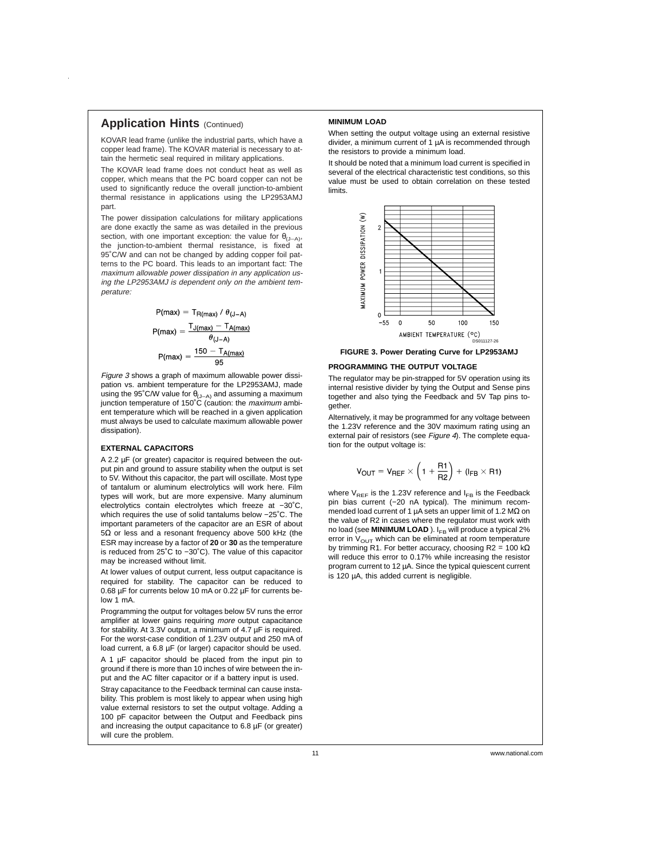### **Application Hints (Continued)**

KOVAR lead frame (unlike the industrial parts, which have a copper lead frame). The KOVAR material is necessary to attain the hermetic seal required in military applications.

The KOVAR lead frame does not conduct heat as well as copper, which means that the PC board copper can not be used to significantly reduce the overall junction-to-ambient thermal resistance in applications using the LP2953AMJ part.

The power dissipation calculations for military applications are done exactly the same as was detailed in the previous section, with one important exception: the value for  $\theta_{(J-A)}$ , the junction-to-ambient thermal resistance, is fixed at 95˚C/W and can not be changed by adding copper foil patterns to the PC board. This leads to an important fact: The maximum allowable power dissipation in any application using the LP2953AMJ is dependent only on the ambient temperature:

$$
P(max) = T_{R(max)} / \theta_{(J-A)}
$$

$$
P(max) = \frac{T_{J(max)} - T_{A(max)}}{\theta_{(J-A)}}
$$

$$
P(max) = \frac{150 - T_{A(max)}}{95}
$$

Figure 3 shows a graph of maximum allowable power dissipation vs. ambient temperature for the LP2953AMJ, made using the 95°C/W value for  $\theta_{(J-A)}$  and assuming a maximum junction temperature of 150°C (caution: the *maximum* ambient temperature which will be reached in a given application must always be used to calculate maximum allowable power dissipation).

#### **EXTERNAL CAPACITORS**

A 2.2 µF (or greater) capacitor is required between the output pin and ground to assure stability when the output is set to 5V. Without this capacitor, the part will oscillate. Most type of tantalum or aluminum electrolytics will work here. Film types will work, but are more expensive. Many aluminum electrolytics contain electrolytes which freeze at −30˚C, which requires the use of solid tantalums below −25˚C. The important parameters of the capacitor are an ESR of about 5Ω or less and a resonant frequency above 500 kHz (the ESR may increase by a factor of **20** or **30** as the temperature is reduced from 25˚C to −30˚C). The value of this capacitor may be increased without limit.

At lower values of output current, less output capacitance is required for stability. The capacitor can be reduced to 0.68 µF for currents below 10 mA or 0.22 µF for currents below 1 mA.

Programming the output for voltages below 5V runs the error amplifier at lower gains requiring more output capacitance for stability. At 3.3V output, a minimum of 4.7 µF is required. For the worst-case condition of 1.23V output and 250 mA of load current, a 6.8 µF (or larger) capacitor should be used.

A 1 µF capacitor should be placed from the input pin to ground if there is more than 10 inches of wire between the input and the AC filter capacitor or if a battery input is used.

Stray capacitance to the Feedback terminal can cause instability. This problem is most likely to appear when using high value external resistors to set the output voltage. Adding a 100 pF capacitor between the Output and Feedback pins and increasing the output capacitance to 6.8 µF (or greater) will cure the problem.

#### **MINIMUM LOAD**

When setting the output voltage using an external resistive divider, a minimum current of 1 µA is recommended through the resistors to provide a minimum load.

It should be noted that a minimum load current is specified in several of the electrical characteristic test conditions, so this value must be used to obtain correlation on these tested limits.



#### **FIGURE 3. Power Derating Curve for LP2953AMJ**

#### **PROGRAMMING THE OUTPUT VOLTAGE**

The regulator may be pin-strapped for 5V operation using its internal resistive divider by tying the Output and Sense pins together and also tying the Feedback and 5V Tap pins together.

Alternatively, it may be programmed for any voltage between the 1.23V reference and the 30V maximum rating using an external pair of resistors (see Figure 4). The complete equation for the output voltage is:

$$
V_{\text{OUT}} = V_{\text{REF}} \times \left(1 + \frac{R1}{R2}\right) + (I_{\text{FB}} \times R1)
$$

where  $V_{\text{DEF}}$  is the 1.23V reference and  $I_{\text{FB}}$  is the Feedback pin bias current (-20 nA typical). The minimum recommended load current of 1 µA sets an upper limit of 1.2 MΩ on the value of R2 in cases where the regulator must work with no load (see **MINIMUM LOAD** ). I<sub>FB</sub> will produce a typical 2% error in  $V_{\text{OUT}}$  which can be eliminated at room temperature by trimming R1. For better accuracy, choosing R2 = 100 kΩ will reduce this error to 0.17% while increasing the resistor program current to 12 µA. Since the typical quiescent current is 120 µA, this added current is negligible.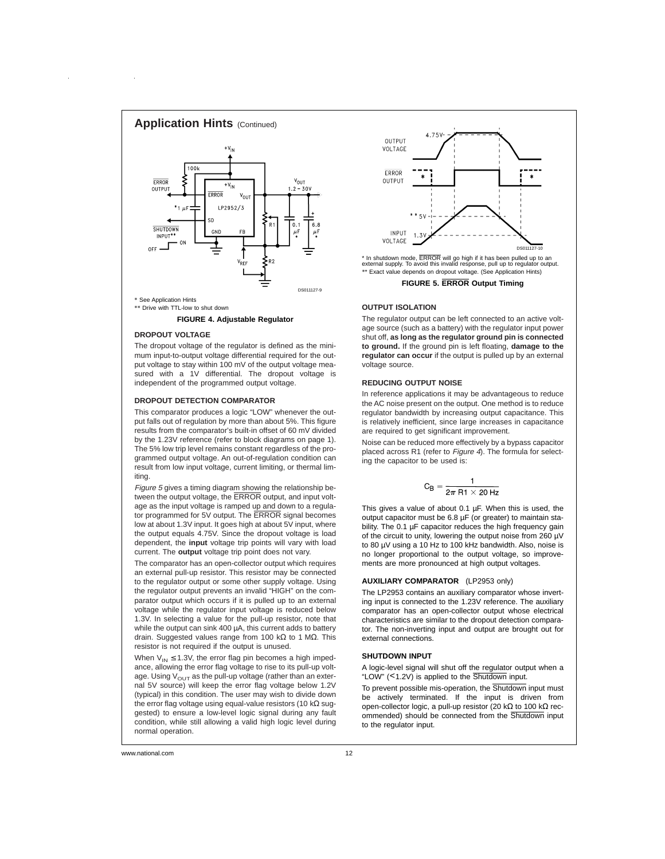

\*\* Drive with TTL-low to shut down

#### **FIGURE 4. Adjustable Regulator**

#### **DROPOUT VOLTAGE**

The dropout voltage of the regulator is defined as the minimum input-to-output voltage differential required for the output voltage to stay within 100 mV of the output voltage measured with a 1V differential. The dropout voltage is independent of the programmed output voltage.

#### **DROPOUT DETECTION COMPARATOR**

This comparator produces a logic "LOW" whenever the output falls out of regulation by more than about 5%. This figure results from the comparator's built-in offset of 60 mV divided by the 1.23V reference (refer to block diagrams on page 1). The 5% low trip level remains constant regardless of the programmed output voltage. An out-of-regulation condition can result from low input voltage, current limiting, or thermal limiting.

Figure <sup>5</sup> gives a timing diagram showing the relationship between the output voltage, the ERROR output, and input voltage as the input voltage is ramped up and down to a regulator programmed for 5V output. The ERROR signal becomes low at about 1.3V input. It goes high at about 5V input, where the output equals 4.75V. Since the dropout voltage is load dependent, the **input** voltage trip points will vary with load current. The **output** voltage trip point does not vary.

The comparator has an open-collector output which requires an external pull-up resistor. This resistor may be connected to the regulator output or some other supply voltage. Using the regulator output prevents an invalid "HIGH" on the comparator output which occurs if it is pulled up to an external voltage while the regulator input voltage is reduced below 1.3V. In selecting a value for the pull-up resistor, note that while the output can sink 400 uA, this current adds to battery drain. Suggested values range from 100 kΩ to 1 MΩ. This resistor is not required if the output is unused.

When  $V_{IN} \le 1.3V$ , the error flag pin becomes a high impedance, allowing the error flag voltage to rise to its pull-up voltage. Using  $V_{\text{OUT}}$  as the pull-up voltage (rather than an external 5V source) will keep the error flag voltage below 1.2V (typical) in this condition. The user may wish to divide down the error flag voltage using equal-value resistors (10 kΩ suggested) to ensure a low-level logic signal during any fault condition, while still allowing a valid high logic level during normal operation.



**FIGURE 5. ERROR Output Timing**

#### **OUTPUT ISOLATION**

The regulator output can be left connected to an active voltage source (such as a battery) with the regulator input power shut off, **as long as the regulator ground pin is connected to ground.** If the ground pin is left floating, **damage to the regulator can occur** if the output is pulled up by an external voltage source.

#### **REDUCING OUTPUT NOISE**

In reference applications it may be advantageous to reduce the AC noise present on the output. One method is to reduce regulator bandwidth by increasing output capacitance. This is relatively inefficient, since large increases in capacitance are required to get significant improvement.

Noise can be reduced more effectively by a bypass capacitor placed across R1 (refer to Figure 4). The formula for selecting the capacitor to be used is:

$$
C_{\text{B}} = \frac{1}{2\pi R1 \times 20 Hz}
$$

This gives a value of about 0.1  $\mu$ F. When this is used, the output capacitor must be 6.8 µF (or greater) to maintain stability. The 0.1 µF capacitor reduces the high frequency gain of the circuit to unity, lowering the output noise from 260 µV to 80 µV using a 10 Hz to 100 kHz bandwidth. Also, noise is no longer proportional to the output voltage, so improvements are more pronounced at high output voltages.

#### **AUXILIARY COMPARATOR** (LP2953 only)

The LP2953 contains an auxiliary comparator whose inverting input is connected to the 1.23V reference. The auxiliary comparator has an open-collector output whose electrical characteristics are similar to the dropout detection comparator. The non-inverting input and output are brought out for external connections.

#### **SHUTDOWN INPUT**

A logic-level signal will shut off the regulator output when a "LOW" (<1.2V) is applied to the Shutdown input.

To prevent possible mis-operation, the Shutdown input must be actively terminated. If the input is driven from open-collector logic, a pull-up resistor (20 kΩ to 100 kΩ recommended) should be connected from the Shutdown input to the regulator input.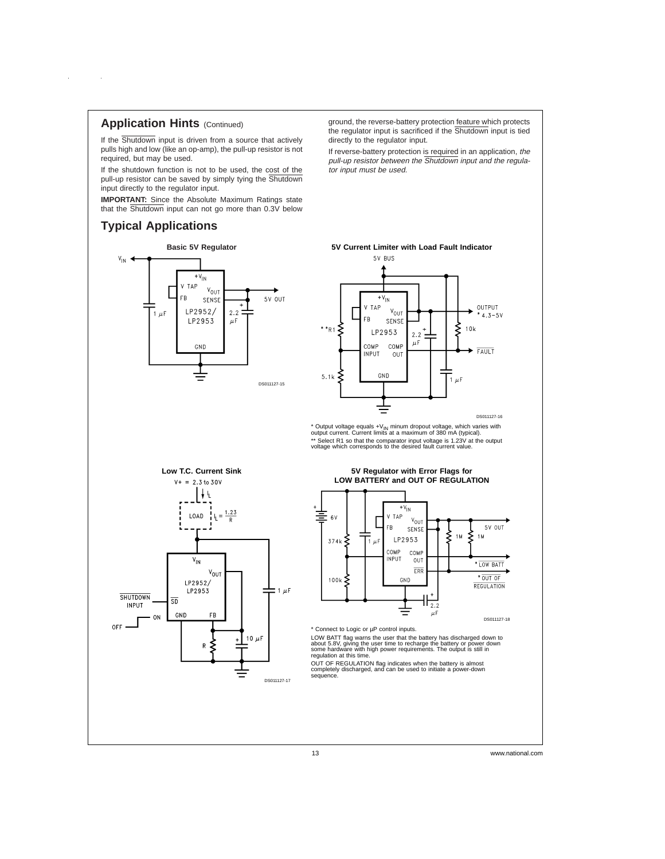# **Application Hints (Continued)**

 $\sim 10$ 

 $\bar{z}$ 

If the Shutdown input is driven from a source that actively pulls high and low (like an op-amp), the pull-up resistor is not required, but may be used.

If the shutdown function is not to be used, the cost of the pull-up resistor can be saved by simply tying the Shutdown input directly to the regulator input.

**IMPORTANT:** Since the Absolute Maximum Ratings state that the Shutdown input can not go more than 0.3V below

# **Typical Applications**



ground, the reverse-battery protection feature which protects the regulator input is sacrificed if the Shutdown input is tied directly to the regulator input.

If reverse-battery protection is required in an application, the pull-up resistor between the Shutdown input and the regulator input must be used.



\* Output voltage equals +V<sub>IN</sub> minum dropout voltage, which varies with<br>output current. Current limits at a maximum of 380 mA (typical). \*\* Select R1 so that the comparator input voltage is 1.23V at the output voltage which corresponds to the desired fault current value.



### **5V Regulator with Error Flags for LOW BATTERY and OUT OF REGULATION**



\* Connect to Logic or µP control inputs.

LOW BATT flag warns the user that the battery has discharged down to<br>about 5.8V, giving the user time to recharge the battery or power down<br>some hardware with high power requirements. The output is still in<br>regulation at t

OUT OF REGULATION flag indicates when the battery is almost completely discharged, and can be used to initiate a power-down sequence.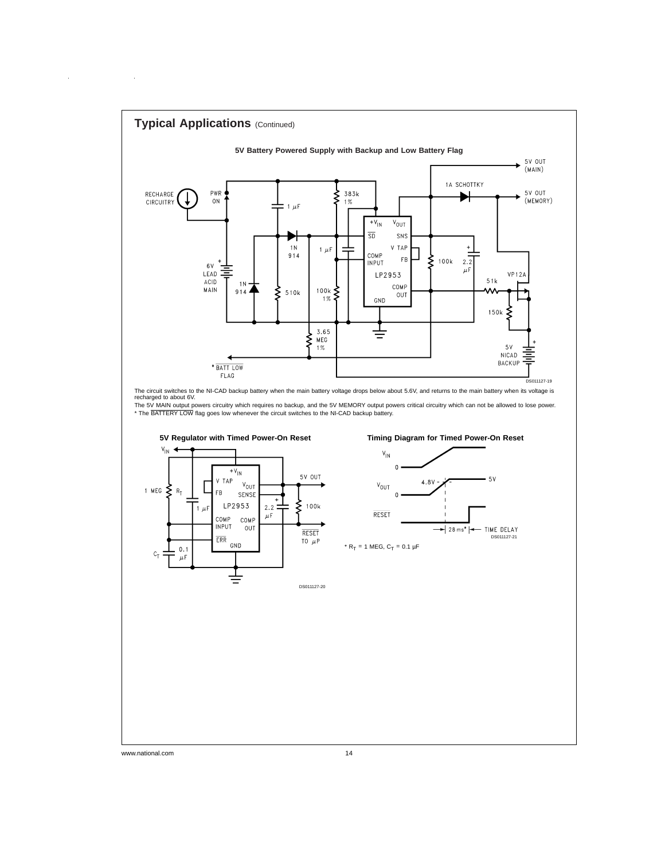

www.national.com 14

 $\alpha$ 

 $\sim 10$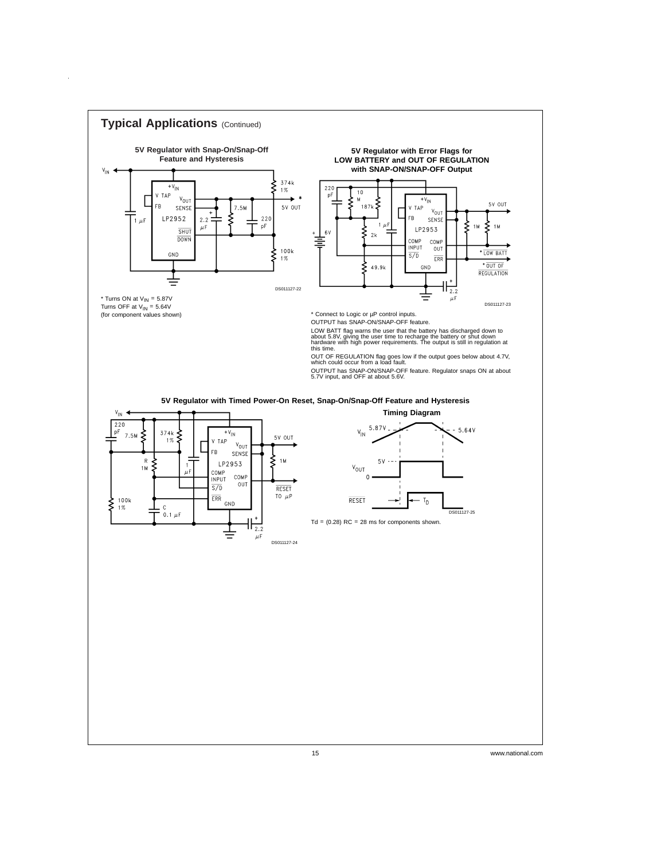

 $\bar{z}$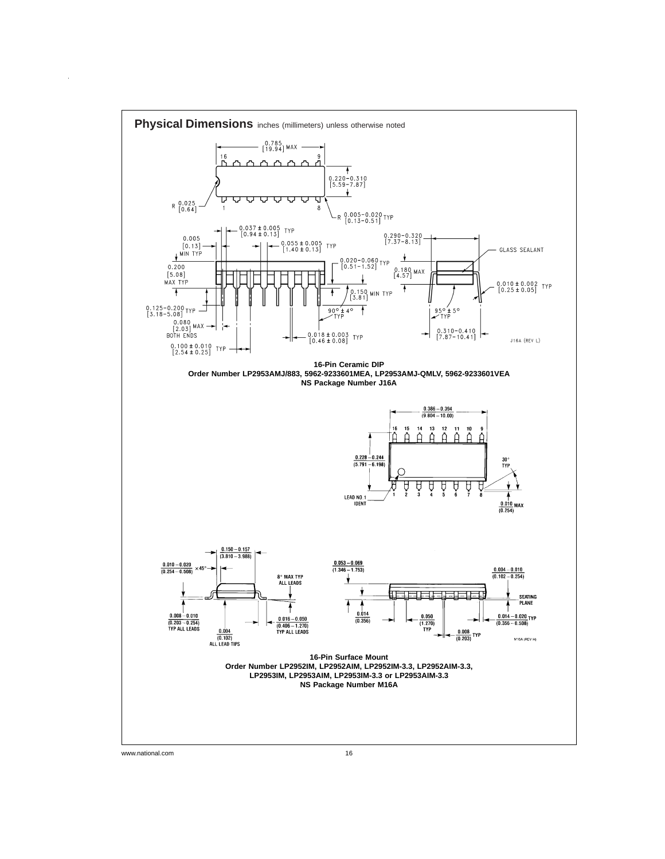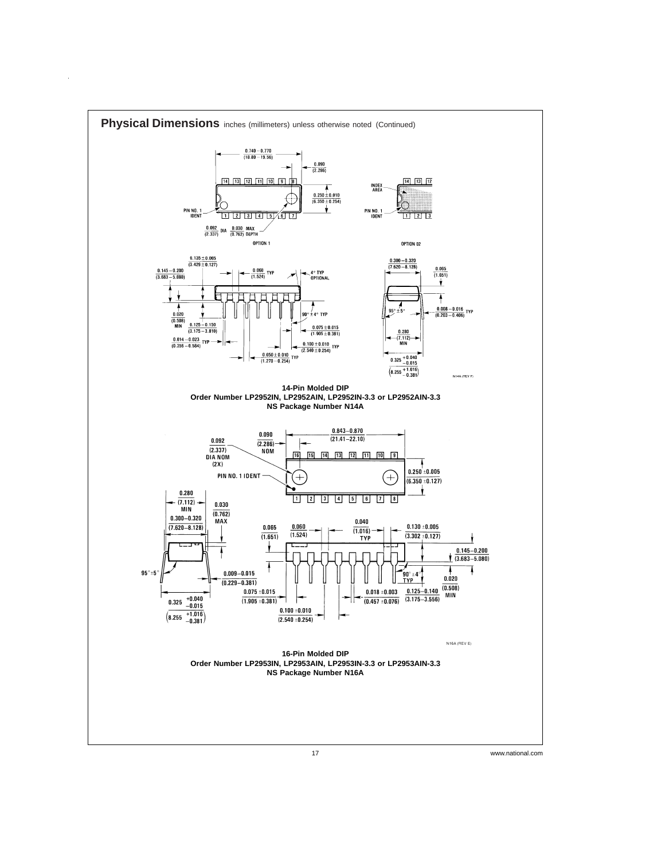

 $\bar{z}$